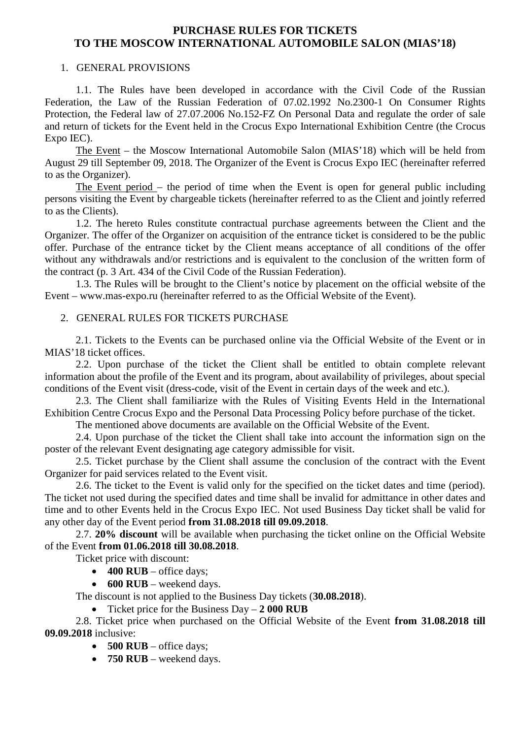# **PURCHASE RULES FOR TICKETS TO THE MOSCOW INTERNATIONAL AUTOMOBILE SALON (MIAS'18)**

## 1. GENERAL PROVISIONS

1.1. The Rules have been developed in accordance with the Civil Code of the Russian Federation, the Law of the Russian Federation of 07.02.1992 No.2300-1 On Consumer Rights Protection, the Federal law of 27.07.2006 No.152-FZ On Personal Data and regulate the order of sale and return of tickets for the Event held in the Crocus Expo International Exhibition Centre (the Crocus Expo IEC).

The Event – the Moscow International Automobile Salon (MIAS'18) which will be held from August 29 till September 09, 2018. The Organizer of the Event is Crocus Expo IEC (hereinafter referred to as the Organizer).

The Event period – the period of time when the Event is open for general public including persons visiting the Event by chargeable tickets (hereinafter referred to as the Client and jointly referred to as the Clients).

1.2. The hereto Rules constitute contractual purchase agreements between the Client and the Organizer. The offer of the Organizer on acquisition of the entrance ticket is considered to be the public offer. Purchase of the entrance ticket by the Client means acceptance of all conditions of the offer without any withdrawals and/or restrictions and is equivalent to the conclusion of the written form of the contract (p. 3 Art. 434 of the Civil Code of the Russian Federation).

1.3. The Rules will be brought to the Client's notice by placement on the official website of the Event – www.mas-expo.ru (hereinafter referred to as the Official Website of the Event).

## 2. GENERAL RULES FOR TICKETS PURCHASE

2.1. Tickets to the Events can be purchased online via the Official Website of the Event or in MIAS'18 ticket offices.

2.2. Upon purchase of the ticket the Client shall be entitled to obtain complete relevant information about the profile of the Event and its program, about availability of privileges, about special conditions of the Event visit (dress-code, visit of the Event in certain days of the week and etc.).

2.3. The Client shall familiarize with the Rules of Visiting Events Held in the International Exhibition Centre Crocus Expo and the Personal Data Processing Policy before purchase of the ticket.

The mentioned above documents are available on the Official Website of the Event.

2.4. Upon purchase of the ticket the Client shall take into account the information sign on the poster of the relevant Event designating age category admissible for visit.

2.5. Ticket purchase by the Client shall assume the conclusion of the contract with the Event Organizer for paid services related to the Event visit.

2.6. The ticket to the Event is valid only for the specified on the ticket dates and time (period). The ticket not used during the specified dates and time shall be invalid for admittance in other dates and time and to other Events held in the Crocus Expo IEC. Not used Business Day ticket shall be valid for any other day of the Event period **from 31.08.2018 till 09.09.2018**.

2.7. **20% discount** will be available when purchasing the ticket online on the Official Website of the Event **from 01.06.2018 till 30.08.2018**.

Ticket price with discount:

- $\bullet$  **400 RUB** office days;
- **600 RUB** weekend days.

The discount is not applied to the Business Day tickets (**30.08.2018**).

• Ticket price for the Business Day – **2 000 RUB**

2.8. Ticket price when purchased on the Official Website of the Event **from 31.08.2018 till 09.09.2018** inclusive:

- **500 RUB** office days;
- **750 RUB** weekend days.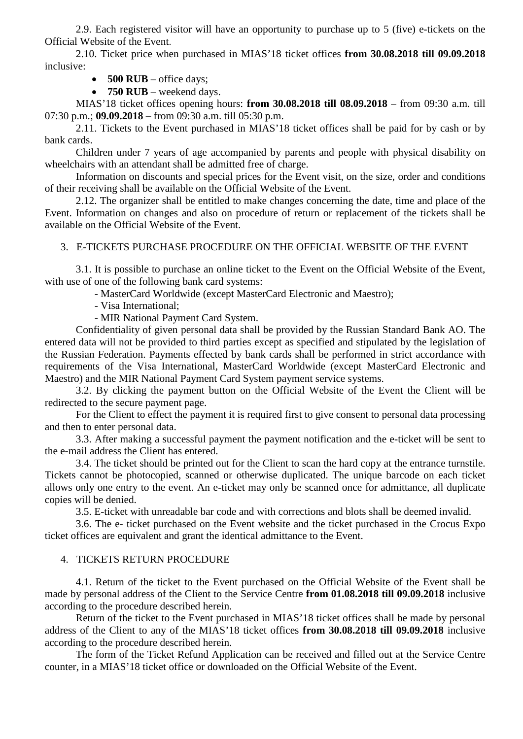2.9. Each registered visitor will have an opportunity to purchase up to 5 (five) e-tickets on the Official Website of the Event.

2.10. Ticket price when purchased in MIAS'18 ticket offices **from 30.08.2018 till 09.09.2018** inclusive:

• **500 RUB** – office days;

• **750 RUB** – weekend days.

MIAS'18 ticket offices opening hours: **from 30.08.2018 till 08.09.2018** – from 09:30 a.m. till 07:30 p.m.; **09.09.2018 –** from 09:30 a.m. till 05:30 p.m.

2.11. Tickets to the Event purchased in MIAS'18 ticket offices shall be paid for by cash or by bank cards.

Children under 7 years of age accompanied by parents and people with physical disability on wheelchairs with an attendant shall be admitted free of charge.

Information on discounts and special prices for the Event visit, on the size, order and conditions of their receiving shall be available on the Official Website of the Event.

2.12. The organizer shall be entitled to make changes concerning the date, time and place of the Event. Information on changes and also on procedure of return or replacement of the tickets shall be available on the Official Website of the Event.

#### 3. E-TICKETS PURCHASE PROCEDURE ON THE OFFICIAL WEBSITE OF THE EVENT

3.1. It is possible to purchase an online ticket to the Event on the Official Website of the Event, with use of one of the following bank card systems:

- MasterCard Worldwide (except MasterCard Electronic and Maestro);

- Visa International;

- MIR National Payment Card System.

Confidentiality of given personal data shall be provided by the Russian Standard Bank AO. The entered data will not be provided to third parties except as specified and stipulated by the legislation of the Russian Federation. Payments effected by bank cards shall be performed in strict accordance with requirements of the Visa International, MasterCard Worldwide (except MasterCard Electronic and Maestro) and the MIR National Payment Card System payment service systems.

3.2. By clicking the payment button on the Official Website of the Event the Client will be redirected to the secure payment page.

For the Client to effect the payment it is required first to give consent to personal data processing and then to enter personal data.

3.3. After making a successful payment the payment notification and the e-ticket will be sent to the e-mail address the Client has entered.

3.4. The ticket should be printed out for the Client to scan the hard copy at the entrance turnstile. Tickets cannot be photocopied, scanned or otherwise duplicated. The unique barcode on each ticket allows only one entry to the event. An e-ticket may only be scanned once for admittance*,* all duplicate copies will be denied.

3.5. E-ticket with unreadable bar code and with corrections and blots shall be deemed invalid.

3.6. The e- ticket purchased on the Event website and the ticket purchased in the Crocus Expo ticket offices are equivalent and grant the identical admittance to the Event.

### 4. TICKETS RETURN PROCEDURE

4.1. Return of the ticket to the Event purchased on the Official Website of the Event shall be made by personal address of the Client to the Service Centre **from 01.08.2018 till 09.09.2018** inclusive according to the procedure described herein.

Return of the ticket to the Event purchased in MIAS'18 ticket offices shall be made by personal address of the Client to any of the MIAS'18 ticket offices **from 30.08.2018 till 09.09.2018** inclusive according to the procedure described herein.

The form of the Ticket Refund Application can be received and filled out at the Service Centre counter, in a MIAS'18 ticket office or downloaded on the Official Website of the Event.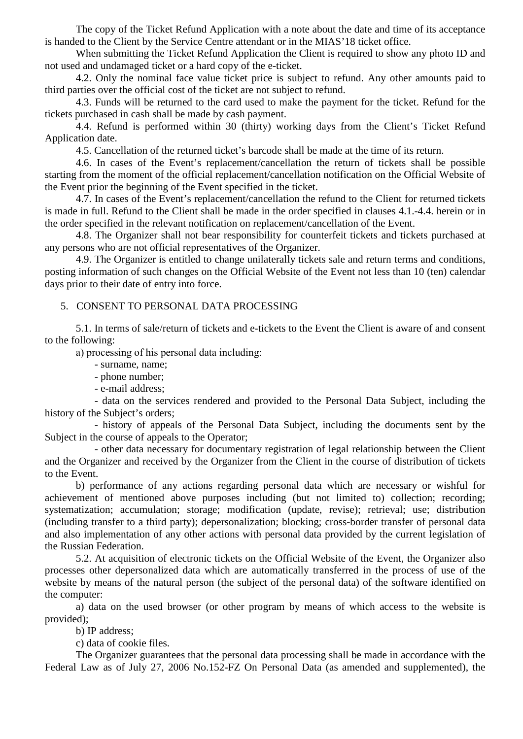The copy of the Ticket Refund Application with a note about the date and time of its acceptance is handed to the Client by the Service Centre attendant or in the MIAS'18 ticket office.

When submitting the Ticket Refund Application the Client is required to show any photo ID and not used and undamaged ticket or a hard copy of the e-ticket.

4.2. Only the nominal face value ticket price is subject to refund. Any other amounts paid to third parties over the official cost of the ticket are not subject to refund.

4.3. Funds will be returned to the card used to make the payment for the ticket. Refund for the tickets purchased in cash shall be made by cash payment.

4.4. Refund is performed within 30 (thirty) working days from the Client's Ticket Refund Application date.

4.5. Cancellation of the returned ticket's barcode shall be made at the time of its return.

4.6. In cases of the Event's replacement/cancellation the return of tickets shall be possible starting from the moment of the official replacement/cancellation notification on the Official Website of the Event prior the beginning of the Event specified in the ticket.

4.7. In cases of the Event's replacement/cancellation the refund to the Client for returned tickets is made in full. Refund to the Client shall be made in the order specified in clauses 4.1.-4.4. herein or in the order specified in the relevant notification on replacement/cancellation of the Event.

4.8. The Organizer shall not bear responsibility for counterfeit tickets and tickets purchased at any persons who are not official representatives of the Organizer.

4.9. The Organizer is entitled to change unilaterally tickets sale and return terms and conditions, posting information of such changes on the Official Website of the Event not less than 10 (ten) calendar days prior to their date of entry into force.

#### 5. CONSENT TO PERSONAL DATA PROCESSING

5.1. In terms of sale/return of tickets and e-tickets to the Event the Client is aware of and consent to the following:

а) processing of his personal data including:

- surname, name;

- phone number;
- e-mail address;

- data on the services rendered and provided to the Personal Data Subject, including the history of the Subject's orders;

- history of appeals of the Personal Data Subject, including the documents sent by the Subject in the course of appeals to the Operator;

- other data necessary for documentary registration of legal relationship between the Client and the Organizer and received by the Organizer from the Client in the course of distribution of tickets to the Event.

b) performance of any actions regarding personal data which are necessary or wishful for achievement of mentioned above purposes including (but not limited to) collection; recording; systematization; accumulation; storage; modification (update, revise); retrieval; use; distribution (including transfer to a third party); depersonalization; blocking; cross-border transfer of personal data and also implementation of any other actions with personal data provided by the current legislation of the Russian Federation.

5.2. At acquisition of electronic tickets on the Official Website of the Event, the Organizer also processes other depersonalized data which are automatically transferred in the process of use of the website by means of the natural person (the subject of the personal data) of the software identified on the computer:

a) data on the used browser (or other program by means of which access to the website is provided);

b) IP address;

c) data of cookie files.

The Organizer guarantees that the personal data processing shall be made in accordance with the Federal Law as of July 27, 2006 No.152-FZ On Personal Data (as amended and supplemented), the